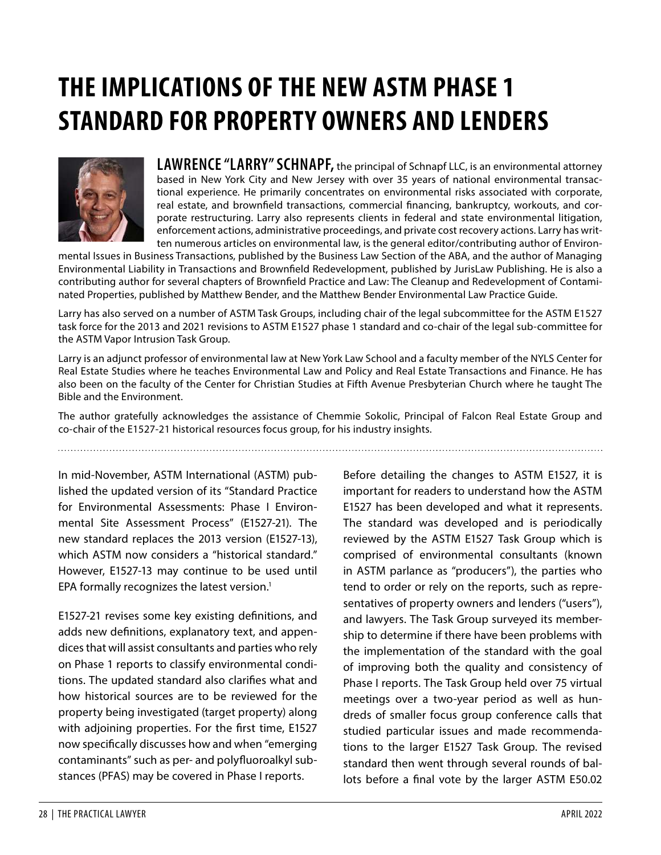# **THE IMPLICATIONS OF THE NEW ASTM PHASE 1 STANDARD FOR PROPERTY OWNERS AND LENDERS**



**LAWRENCE "LARRY" SCHNAPF,** the principal of Schnapf LLC, is an environmental attorney based in New York City and New Jersey with over 35 years of national environmental transactional experience. He primarily concentrates on environmental risks associated with corporate, real estate, and brownfield transactions, commercial financing, bankruptcy, workouts, and corporate restructuring. Larry also represents clients in federal and state environmental litigation, enforcement actions, administrative proceedings, and private cost recovery actions. Larry has written numerous articles on environmental law, is the general editor/contributing author of Environ-

mental Issues in Business Transactions, published by the Business Law Section of the ABA, and the author of Managing Environmental Liability in Transactions and Brownfield Redevelopment, published by JurisLaw Publishing. He is also a contributing author for several chapters of Brownfield Practice and Law: The Cleanup and Redevelopment of Contaminated Properties, published by Matthew Bender, and the Matthew Bender Environmental Law Practice Guide.

Larry has also served on a number of ASTM Task Groups, including chair of the legal subcommittee for the ASTM E1527 task force for the 2013 and 2021 revisions to ASTM E1527 phase 1 standard and co-chair of the legal sub-committee for the ASTM Vapor Intrusion Task Group.

Larry is an adjunct professor of environmental law at New York Law School and a faculty member of the NYLS Center for Real Estate Studies where he teaches Environmental Law and Policy and Real Estate Transactions and Finance. He has also been on the faculty of the Center for Christian Studies at Fifth Avenue Presbyterian Church where he taught The Bible and the Environment.

The author gratefully acknowledges the assistance of Chemmie Sokolic, Principal of Falcon Real Estate Group and co-chair of the E1527-21 historical resources focus group, for his industry insights.

In mid-November, ASTM International (ASTM) published the updated version of its "Standard Practice for Environmental Assessments: Phase I Environmental Site Assessment Process" (E1527-21). The new standard replaces the 2013 version (E1527-13), which ASTM now considers a "historical standard." However, E1527-13 may continue to be used until EPA formally recognizes the latest version.<sup>[1](#page-9-0)</sup>

E1527-21 revises some key existing definitions, and adds new definitions, explanatory text, and appendices that will assist consultants and parties who rely on Phase 1 reports to classify environmental conditions. The updated standard also clarifies what and how historical sources are to be reviewed for the property being investigated (target property) along with adjoining properties. For the first time, E1527 now specifically discusses how and when "emerging contaminants" such as per- and polyfluoroalkyl substances (PFAS) may be covered in Phase I reports.

Before detailing the changes to ASTM E1527, it is important for readers to understand how the ASTM E1527 has been developed and what it represents. The standard was developed and is periodically reviewed by the ASTM E1527 Task Group which is comprised of environmental consultants (known in ASTM parlance as "producers"), the parties who tend to order or rely on the reports, such as representatives of property owners and lenders ("users"), and lawyers. The Task Group surveyed its membership to determine if there have been problems with the implementation of the standard with the goal of improving both the quality and consistency of Phase I reports. The Task Group held over 75 virtual meetings over a two-year period as well as hundreds of smaller focus group conference calls that studied particular issues and made recommendations to the larger E1527 Task Group. The revised standard then went through several rounds of ballots before a final vote by the larger ASTM E50.02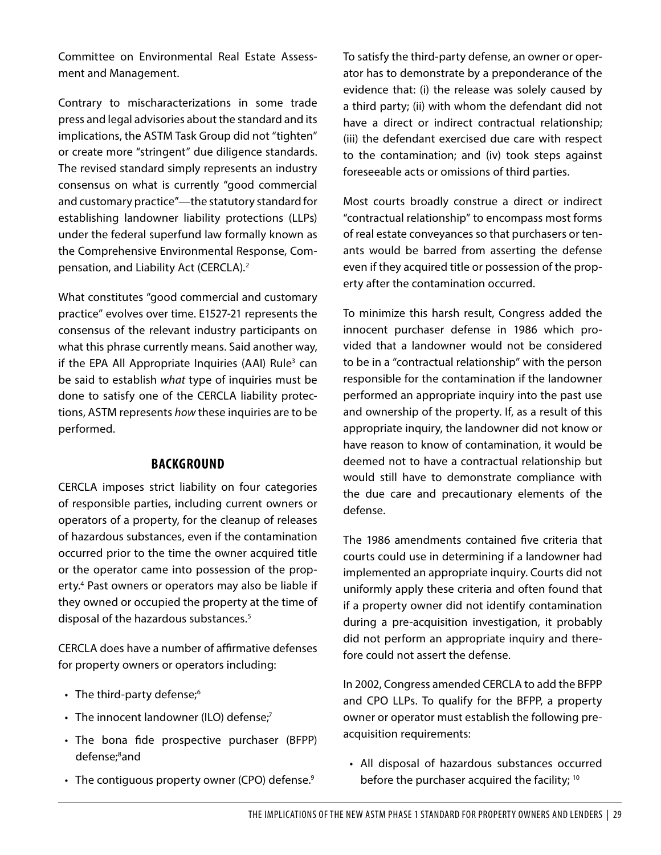Committee on Environmental Real Estate Assessment and Management.

Contrary to mischaracterizations in some trade press and legal advisories about the standard and its implications, the ASTM Task Group did not "tighten" or create more "stringent" due diligence standards. The revised standard simply represents an industry consensus on what is currently "good commercial and customary practice"—the statutory standard for establishing landowner liability protections (LLPs) under the federal superfund law formally known as the Comprehensive Environmental Response, Compensation, and Liability Act (CERCLA).[2](#page-9-1)

What constitutes "good commercial and customary practice" evolves over time. E1527-21 represents the consensus of the relevant industry participants on what this phrase currently means. Said another way, if the EPA All Appropriate Inquiries (AAI) Rule<sup>[3](#page-9-2)</sup> can be said to establish what type of inquiries must be done to satisfy one of the CERCLA liability protections, ASTM represents how these inquiries are to be performed.

#### **BACKGROUND**

CERCLA imposes strict liability on four categories of responsible parties, including current owners or operators of a property, for the cleanup of releases of hazardous substances, even if the contamination occurred prior to the time the owner acquired title or the operator came into possession of the property.[4](#page-9-3) Past owners or operators may also be liable if they owned or occupied the property at the time of disposal of the hazardous substances.<sup>[5](#page-9-4)</sup>

CERCLA does have a number of affirmative defenses for property owners or operators including:

- The third-party defense; $6$
- The innocent landowner (ILO) defense;<sup>[7](#page-9-6)</sup>
- The bona fide prospective purchaser (BFPP) defense;<sup>[8](#page-9-7)</sup>and
- The contiguous property owner (CPO) defense. $9$

To satisfy the third-party defense, an owner or operator has to demonstrate by a preponderance of the evidence that: (i) the release was solely caused by a third party; (ii) with whom the defendant did not have a direct or indirect contractual relationship; (iii) the defendant exercised due care with respect to the contamination; and (iv) took steps against foreseeable acts or omissions of third parties.

Most courts broadly construe a direct or indirect "contractual relationship" to encompass most forms of real estate conveyances so that purchasers or tenants would be barred from asserting the defense even if they acquired title or possession of the property after the contamination occurred.

To minimize this harsh result, Congress added the innocent purchaser defense in 1986 which provided that a landowner would not be considered to be in a "contractual relationship" with the person responsible for the contamination if the landowner performed an appropriate inquiry into the past use and ownership of the property. If, as a result of this appropriate inquiry, the landowner did not know or have reason to know of contamination, it would be deemed not to have a contractual relationship but would still have to demonstrate compliance with the due care and precautionary elements of the defense.

The 1986 amendments contained five criteria that courts could use in determining if a landowner had implemented an appropriate inquiry. Courts did not uniformly apply these criteria and often found that if a property owner did not identify contamination during a pre-acquisition investigation, it probably did not perform an appropriate inquiry and therefore could not assert the defense.

In 2002, Congress amended CERCLA to add the BFPP and CPO LLPs. To qualify for the BFPP, a property owner or operator must establish the following preacquisition requirements:

• All disposal of hazardous substances occurred before the purchaser acquired the facility; [10](#page-9-9)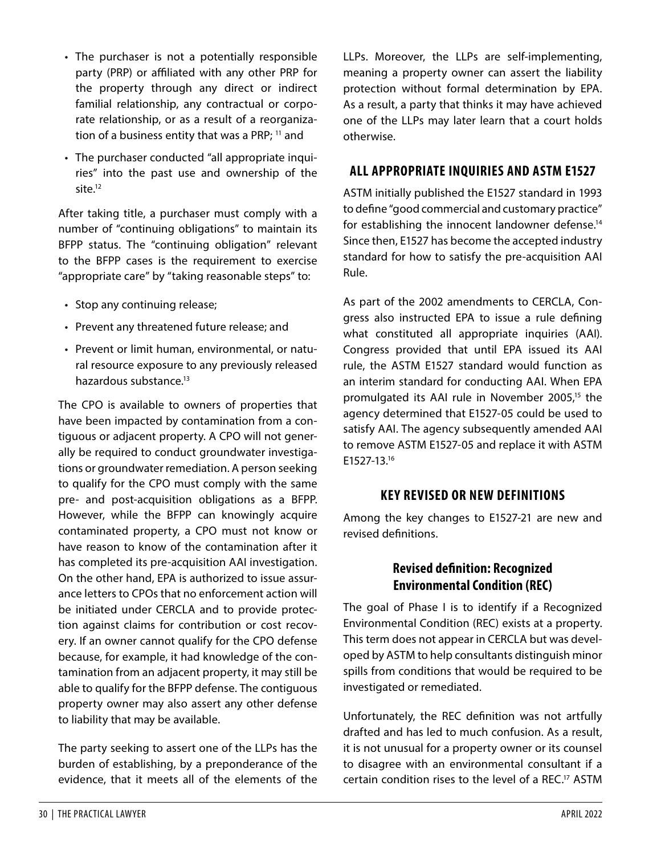tamination from an adjacent property, it may still be able to qualify for the BFPP defense. The contiguous property owner may also assert any other defense

to liability that may be available.

has completed its pre-acquisition AAI investigation. On the other hand, EPA is authorized to issue assurance letters to CPOs that no enforcement action will be initiated under CERCLA and to provide protection against claims for contribution or cost recov-

After taking title, a purchaser must comply with a number of "continuing obligations" to maintain its

BFPP status. The "continuing obligation" relevant to the BFPP cases is the requirement to exercise "appropriate care" by "taking reasonable steps" to:

• The purchaser is not a potentially responsible party (PRP) or affiliated with any other PRP for the property through any direct or indirect familial relationship, any contractual or corporate relationship, or as a result of a reorganiza-tion of a business entity that was a PRP; <sup>[11](#page-9-10)</sup> and

• The purchaser conducted "all appropriate inquiries" into the past use and ownership of the

• Stop any continuing release;

site.[12](#page-9-11)

- Prevent any threatened future release; and
- Prevent or limit human, environmental, or natural resource exposure to any previously released hazardous substance.<sup>[13](#page-9-12)</sup>

The CPO is available to owners of properties that have been impacted by contamination from a contiguous or adjacent property. A CPO will not generally be required to conduct groundwater investigations or groundwater remediation. A person seeking to qualify for the CPO must comply with the same pre- and post-acquisition obligations as a BFPP. However, while the BFPP can knowingly acquire contaminated property, a CPO must not know or have reason to know of the contamination after it LLPs. Moreover, the LLPs are self-implementing, meaning a property owner can assert the liability protection without formal determination by EPA. As a result, a party that thinks it may have achieved one of the LLPs may later learn that a court holds otherwise.

## **ALL APPROPRIATE INQUIRIES AND ASTM E1527**

ASTM initially published the E1527 standard in 1993 to define "good commercial and customary practice" for establishing the innocent landowner defense.<sup>[14](#page-9-13)</sup> Since then, E1527 has become the accepted industry standard for how to satisfy the pre-acquisition AAI Rule.

As part of the 2002 amendments to CERCLA, Congress also instructed EPA to issue a rule defining what constituted all appropriate inquiries (AAI). Congress provided that until EPA issued its AAI rule, the ASTM E1527 standard would function as an interim standard for conducting AAI. When EPA promulgated its AAI rule in November 2005,<sup>[15](#page-9-14)</sup> the agency determined that E1527-05 could be used to satisfy AAI. The agency subsequently amended AAI to remove ASTM E1527-05 and replace it with ASTM E1527-13.[16](#page-9-15)

## **KEY REVISED OR NEW DEFINITIONS**

Among the key changes to E1527-21 are new and revised definitions.

## **Revised definition: Recognized Environmental Condition (REC)**

The goal of Phase I is to identify if a Recognized Environmental Condition (REC) exists at a property. This term does not appear in CERCLA but was developed by ASTM to help consultants distinguish minor spills from conditions that would be required to be investigated or remediated.

Unfortunately, the REC definition was not artfully drafted and has led to much confusion. As a result, it is not unusual for a property owner or its counsel to disagree with an environmental consultant if a certain condition rises to the level of a REC.[17](#page-9-16) ASTM

ery. If an owner cannot qualify for the CPO defense because, for example, it had knowledge of the con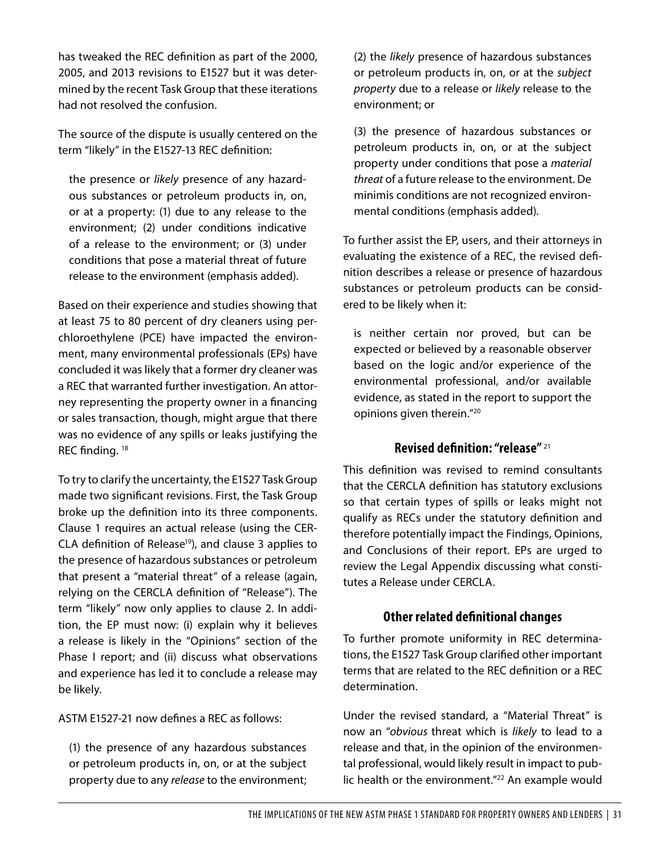has tweaked the REC definition as part of the 2000, 2005, and 2013 revisions to E1527 but it was determined by the recent Task Group that these iterations had not resolved the confusion.

The source of the dispute is usually centered on the term "likely" in the E1527-13 REC definition:

the presence or likely presence of any hazardous substances or petroleum products in, on, or at a property: (1) due to any release to the environment; (2) under conditions indicative of a release to the environment; or (3) under conditions that pose a material threat of future release to the environment (emphasis added).

Based on their experience and studies showing that at least 75 to 80 percent of dry cleaners using perchloroethylene (PCE) have impacted the environment, many environmental professionals (EPs) have concluded it was likely that a former dry cleaner was a REC that warranted further investigation. An attorney representing the property owner in a financing or sales transaction, though, might argue that there was no evidence of any spills or leaks justifying the REC finding. [18](#page-9-17)

To try to clarify the uncertainty, the E1527 Task Group made two significant revisions. First, the Task Group broke up the definition into its three components. Clause 1 requires an actual release (using the CER-CLA definition of Release<sup>[19](#page-9-18)</sup>), and clause 3 applies to the presence of hazardous substances or petroleum that present a "material threat" of a release (again, relying on the CERCLA definition of "Release"). The term "likely" now only applies to clause 2. In addition, the EP must now: (i) explain why it believes a release is likely in the "Opinions" section of the Phase I report; and (ii) discuss what observations and experience has led it to conclude a release may be likely.

ASTM E1527-21 now defines a REC as follows:

(1) the presence of any hazardous substances or petroleum products in, on, or at the subject property due to any release to the environment;

(2) the likely presence of hazardous substances or petroleum products in, on, or at the subject property due to a release or likely release to the environment; or

(3) the presence of hazardous substances or petroleum products in, on, or at the subject property under conditions that pose a material threat of a future release to the environment. De minimis conditions are not recognized environmental conditions (emphasis added).

To further assist the EP, users, and their attorneys in evaluating the existence of a REC, the revised definition describes a release or presence of hazardous substances or petroleum products can be considered to be likely when it:

is neither certain nor proved, but can be expected or believed by a reasonable observer based on the logic and/or experience of the environmental professional, and/or available evidence, as stated in the report to support the opinions given therein."[20](#page-9-19)

#### **Revised definition: "release"** [21](#page-9-20)

This definition was revised to remind consultants that the CERCLA definition has statutory exclusions so that certain types of spills or leaks might not qualify as RECs under the statutory definition and therefore potentially impact the Findings, Opinions, and Conclusions of their report. EPs are urged to review the Legal Appendix discussing what constitutes a Release under CERCLA.

#### **Other related definitional changes**

To further promote uniformity in REC determinations, the E1527 Task Group clarified other important terms that are related to the REC definition or a REC determination.

Under the revised standard, a "Material Threat" is now an "obvious threat which is likely to lead to a release and that, in the opinion of the environmental professional, would likely result in impact to public health or the environment."[22](#page-9-21) An example would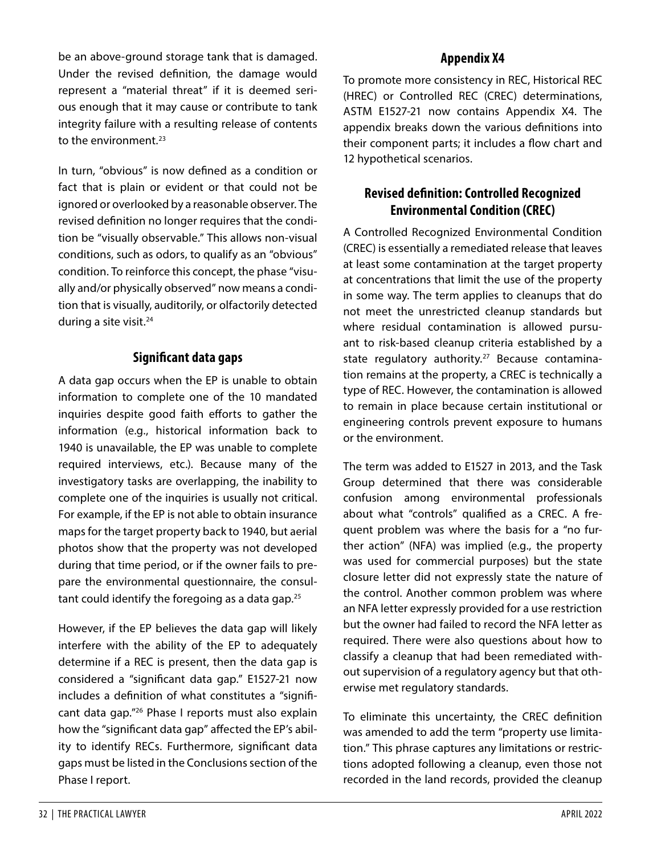be an above-ground storage tank that is damaged. Under the revised definition, the damage would represent a "material threat" if it is deemed serious enough that it may cause or contribute to tank integrity failure with a resulting release of contents to the environment.<sup>[23](#page-9-22)</sup>

In turn, "obvious" is now defined as a condition or fact that is plain or evident or that could not be ignored or overlooked by a reasonable observer. The revised definition no longer requires that the condition be "visually observable." This allows non-visual conditions, such as odors, to qualify as an "obvious" condition. To reinforce this concept, the phase "visually and/or physically observed" now means a condition that is visually, auditorily, or olfactorily detected during a site visit.<sup>[24](#page-9-23)</sup>

### **Significant data gaps**

A data gap occurs when the EP is unable to obtain information to complete one of the 10 mandated inquiries despite good faith efforts to gather the information (e.g., historical information back to 1940 is unavailable, the EP was unable to complete required interviews, etc.). Because many of the investigatory tasks are overlapping, the inability to complete one of the inquiries is usually not critical. For example, if the EP is not able to obtain insurance maps for the target property back to 1940, but aerial photos show that the property was not developed during that time period, or if the owner fails to prepare the environmental questionnaire, the consul-tant could identify the foregoing as a data gap.<sup>[25](#page-9-24)</sup>

However, if the EP believes the data gap will likely interfere with the ability of the EP to adequately determine if a REC is present, then the data gap is considered a "significant data gap." E1527-21 now includes a definition of what constitutes a "significant data gap."[26](#page-10-0) Phase I reports must also explain how the "significant data gap" affected the EP's ability to identify RECs. Furthermore, significant data gaps must be listed in the Conclusions section of the Phase I report.

## **Appendix X4**

To promote more consistency in REC, Historical REC (HREC) or Controlled REC (CREC) determinations, ASTM E1527-21 now contains Appendix X4. The appendix breaks down the various definitions into their component parts; it includes a flow chart and 12 hypothetical scenarios.

## **Revised definition: Controlled Recognized Environmental Condition (CREC)**

A Controlled Recognized Environmental Condition (CREC) is essentially a remediated release that leaves at least some contamination at the target property at concentrations that limit the use of the property in some way. The term applies to cleanups that do not meet the unrestricted cleanup standards but where residual contamination is allowed pursuant to risk-based cleanup criteria established by a state regulatory authority.<sup>[27](#page-10-1)</sup> Because contamination remains at the property, a CREC is technically a type of REC. However, the contamination is allowed to remain in place because certain institutional or engineering controls prevent exposure to humans or the environment.

The term was added to E1527 in 2013, and the Task Group determined that there was considerable confusion among environmental professionals about what "controls" qualified as a CREC. A frequent problem was where the basis for a "no further action" (NFA) was implied (e.g., the property was used for commercial purposes) but the state closure letter did not expressly state the nature of the control. Another common problem was where an NFA letter expressly provided for a use restriction but the owner had failed to record the NFA letter as required. There were also questions about how to classify a cleanup that had been remediated without supervision of a regulatory agency but that otherwise met regulatory standards.

To eliminate this uncertainty, the CREC definition was amended to add the term "property use limitation." This phrase captures any limitations or restrictions adopted following a cleanup, even those not recorded in the land records, provided the cleanup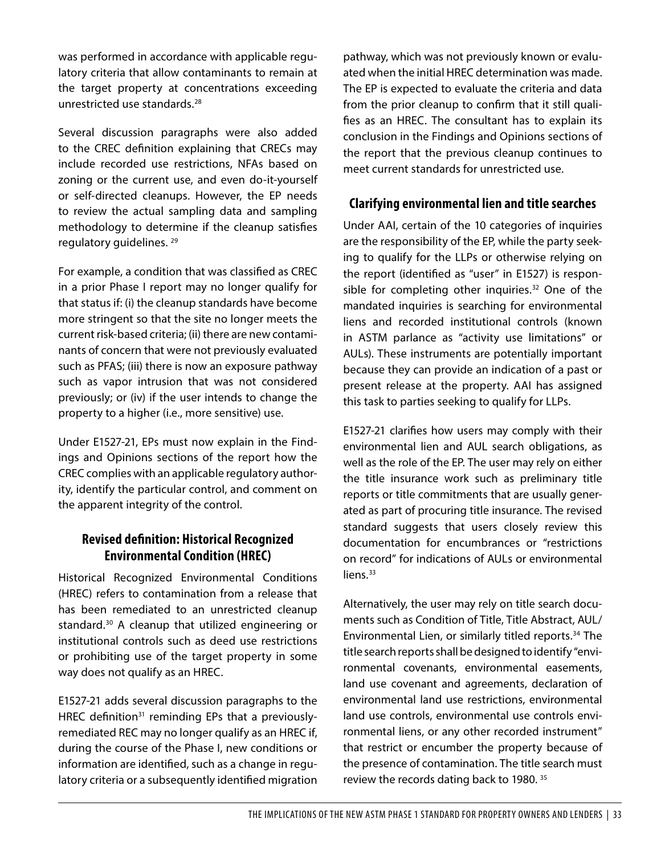was performed in accordance with applicable regulatory criteria that allow contaminants to remain at the target property at concentrations exceeding unrestricted use standards.[28](#page-10-2)

Several discussion paragraphs were also added to the CREC definition explaining that CRECs may include recorded use restrictions, NFAs based on zoning or the current use, and even do-it-yourself or self-directed cleanups. However, the EP needs to review the actual sampling data and sampling methodology to determine if the cleanup satisfies regulatory guidelines. [29](#page-10-3)

For example, a condition that was classified as CREC in a prior Phase I report may no longer qualify for that status if: (i) the cleanup standards have become more stringent so that the site no longer meets the current risk-based criteria; (ii) there are new contaminants of concern that were not previously evaluated such as PFAS; (iii) there is now an exposure pathway such as vapor intrusion that was not considered previously; or (iv) if the user intends to change the property to a higher (i.e., more sensitive) use.

Under E1527-21, EPs must now explain in the Findings and Opinions sections of the report how the CREC complies with an applicable regulatory authority, identify the particular control, and comment on the apparent integrity of the control.

## **Revised definition: Historical Recognized Environmental Condition (HREC)**

Historical Recognized Environmental Conditions (HREC) refers to contamination from a release that has been remediated to an unrestricted cleanup standard.[30](#page-10-4) A cleanup that utilized engineering or institutional controls such as deed use restrictions or prohibiting use of the target property in some way does not qualify as an HREC.

E1527-21 adds several discussion paragraphs to the HREC definition<sup>[31](#page-10-5)</sup> reminding EPs that a previouslyremediated REC may no longer qualify as an HREC if, during the course of the Phase I, new conditions or information are identified, such as a change in regulatory criteria or a subsequently identified migration

pathway, which was not previously known or evaluated when the initial HREC determination was made. The EP is expected to evaluate the criteria and data from the prior cleanup to confirm that it still qualifies as an HREC. The consultant has to explain its conclusion in the Findings and Opinions sections of the report that the previous cleanup continues to meet current standards for unrestricted use.

#### **Clarifying environmental lien and title searches**

Under AAI, certain of the 10 categories of inquiries are the responsibility of the EP, while the party seeking to qualify for the LLPs or otherwise relying on the report (identified as "user" in E1527) is respon-sible for completing other inquiries.<sup>[32](#page-10-6)</sup> One of the mandated inquiries is searching for environmental liens and recorded institutional controls (known in ASTM parlance as "activity use limitations" or AULs). These instruments are potentially important because they can provide an indication of a past or present release at the property. AAI has assigned this task to parties seeking to qualify for LLPs.

E1527-21 clarifies how users may comply with their environmental lien and AUL search obligations, as well as the role of the EP. The user may rely on either the title insurance work such as preliminary title reports or title commitments that are usually generated as part of procuring title insurance. The revised standard suggests that users closely review this documentation for encumbrances or "restrictions on record" for indications of AULs or environmental liens.<sup>[33](#page-10-7)</sup>

Alternatively, the user may rely on title search documents such as Condition of Title, Title Abstract, AUL/ Environmental Lien, or similarly titled reports.<sup>[34](#page-10-8)</sup> The title search reports shall be designed to identify "environmental covenants, environmental easements, land use covenant and agreements, declaration of environmental land use restrictions, environmental land use controls, environmental use controls environmental liens, or any other recorded instrument" that restrict or encumber the property because of the presence of contamination. The title search must review the records dating back to 1980.<sup>[35](#page-10-9)</sup>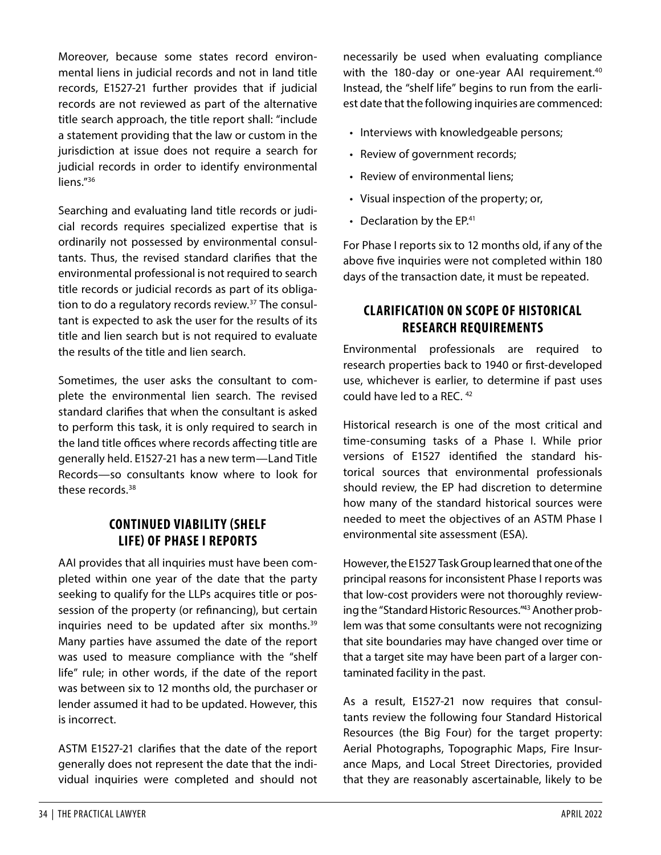Moreover, because some states record environmental liens in judicial records and not in land title records, E1527-21 further provides that if judicial records are not reviewed as part of the alternative title search approach, the title report shall: "include a statement providing that the law or custom in the jurisdiction at issue does not require a search for judicial records in order to identify environmental liens."<sup>[36](#page-10-10)</sup>

Searching and evaluating land title records or judicial records requires specialized expertise that is ordinarily not possessed by environmental consultants. Thus, the revised standard clarifies that the environmental professional is not required to search title records or judicial records as part of its obligation to do a regulatory records review.[37](#page-10-11) The consultant is expected to ask the user for the results of its title and lien search but is not required to evaluate the results of the title and lien search.

Sometimes, the user asks the consultant to complete the environmental lien search. The revised standard clarifies that when the consultant is asked to perform this task, it is only required to search in the land title offices where records affecting title are generally held. E1527-21 has a new term—Land Title Records—so consultants know where to look for these records.[38](#page-10-12)

#### **CONTINUED VIABILITY (SHELF LIFE) OF PHASE I REPORTS**

AAI provides that all inquiries must have been completed within one year of the date that the party seeking to qualify for the LLPs acquires title or possession of the property (or refinancing), but certain inquiries need to be updated after six months.<sup>[39](#page-10-13)</sup> Many parties have assumed the date of the report was used to measure compliance with the "shelf life" rule; in other words, if the date of the report was between six to 12 months old, the purchaser or lender assumed it had to be updated. However, this is incorrect.

ASTM E1527-21 clarifies that the date of the report generally does not represent the date that the individual inquiries were completed and should not necessarily be used when evaluating compliance with the 180-day or one-year AAI requirement.<sup>[40](#page-10-14)</sup> Instead, the "shelf life" begins to run from the earliest date that the following inquiries are commenced:

- Interviews with knowledgeable persons;
- Review of government records;
- Review of environmental liens;
- Visual inspection of the property; or,
- Declaration by the EP.<sup>[41](#page-10-15)</sup>

For Phase I reports six to 12 months old, if any of the above five inquiries were not completed within 180 days of the transaction date, it must be repeated.

#### **CLARIFICATION ON SCOPE OF HISTORICAL RESEARCH REQUIREMENTS**

Environmental professionals are required to research properties back to 1940 or first-developed use, whichever is earlier, to determine if past uses could have led to a REC. [42](#page-10-16)

Historical research is one of the most critical and time-consuming tasks of a Phase I. While prior versions of E1527 identified the standard historical sources that environmental professionals should review, the EP had discretion to determine how many of the standard historical sources were needed to meet the objectives of an ASTM Phase I environmental site assessment (ESA).

However, the E1527 Task Group learned that one of the principal reasons for inconsistent Phase I reports was that low-cost providers were not thoroughly reviewing the "Standard Historic Resources."[43](#page-10-17) Another problem was that some consultants were not recognizing that site boundaries may have changed over time or that a target site may have been part of a larger contaminated facility in the past.

As a result, E1527-21 now requires that consultants review the following four Standard Historical Resources (the Big Four) for the target property: Aerial Photographs, Topographic Maps, Fire Insurance Maps, and Local Street Directories, provided that they are reasonably ascertainable, likely to be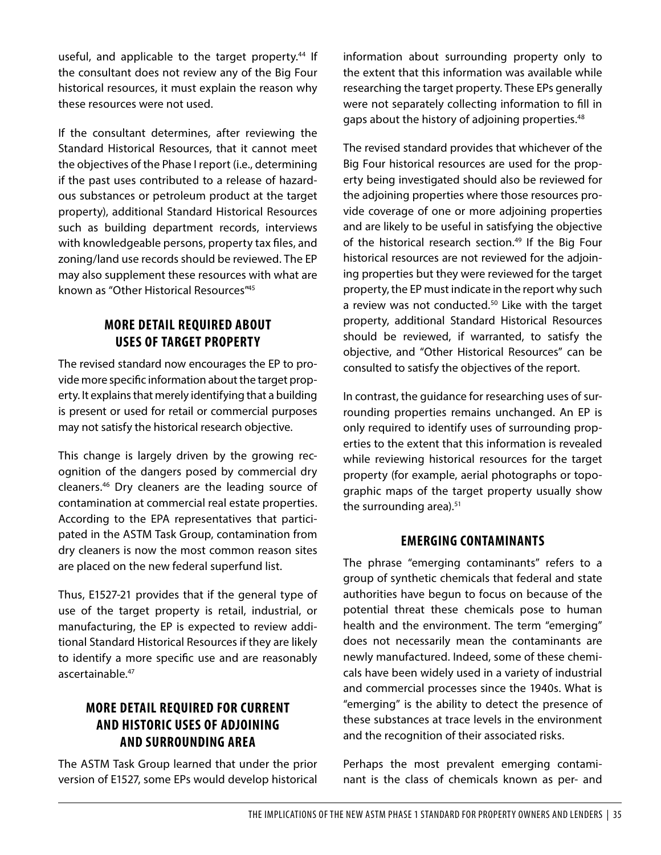useful, and applicable to the target property.<sup>[44](#page-10-18)</sup> If the consultant does not review any of the Big Four historical resources, it must explain the reason why these resources were not used.

If the consultant determines, after reviewing the Standard Historical Resources, that it cannot meet the objectives of the Phase I report (i.e., determining if the past uses contributed to a release of hazardous substances or petroleum product at the target property), additional Standard Historical Resources such as building department records, interviews with knowledgeable persons, property tax files, and zoning/land use records should be reviewed. The EP may also supplement these resources with what are known as "Other Historical Resources"[45](#page-10-19)

## **MORE DETAIL REQUIRED ABOUT USES OF TARGET PROPERTY**

The revised standard now encourages the EP to provide more specific information about the target property. It explains that merely identifying that a building is present or used for retail or commercial purposes may not satisfy the historical research objective.

This change is largely driven by the growing recognition of the dangers posed by commercial dry cleaners.[46](#page-10-20) Dry cleaners are the leading source of contamination at commercial real estate properties. According to the EPA representatives that participated in the ASTM Task Group, contamination from dry cleaners is now the most common reason sites are placed on the new federal superfund list.

Thus, E1527-21 provides that if the general type of use of the target property is retail, industrial, or manufacturing, the EP is expected to review additional Standard Historical Resources if they are likely to identify a more specific use and are reasonably ascertainable.[47](#page-10-21)

## **MORE DETAIL REQUIRED FOR CURRENT AND HISTORIC USES OF ADJOINING AND SURROUNDING AREA**

The ASTM Task Group learned that under the prior version of E1527, some EPs would develop historical

information about surrounding property only to the extent that this information was available while researching the target property. These EPs generally were not separately collecting information to fill in gaps about the history of adjoining properties.<sup>[48](#page-10-22)</sup>

The revised standard provides that whichever of the Big Four historical resources are used for the property being investigated should also be reviewed for the adjoining properties where those resources provide coverage of one or more adjoining properties and are likely to be useful in satisfying the objective of the historical research section.<sup>[49](#page-10-23)</sup> If the Big Four historical resources are not reviewed for the adjoining properties but they were reviewed for the target property, the EP must indicate in the report why such a review was not conducted.<sup>[50](#page-10-24)</sup> Like with the target property, additional Standard Historical Resources should be reviewed, if warranted, to satisfy the objective, and "Other Historical Resources" can be consulted to satisfy the objectives of the report.

In contrast, the guidance for researching uses of surrounding properties remains unchanged. An EP is only required to identify uses of surrounding properties to the extent that this information is revealed while reviewing historical resources for the target property (for example, aerial photographs or topographic maps of the target property usually show the surrounding area). $51$ 

#### **EMERGING CONTAMINANTS**

The phrase "emerging contaminants" refers to a group of synthetic chemicals that federal and state authorities have begun to focus on because of the potential threat these chemicals pose to human health and the environment. The term "emerging" does not necessarily mean the contaminants are newly manufactured. Indeed, some of these chemicals have been widely used in a variety of industrial and commercial processes since the 1940s. What is "emerging" is the ability to detect the presence of these substances at trace levels in the environment and the recognition of their associated risks.

Perhaps the most prevalent emerging contaminant is the class of chemicals known as per- and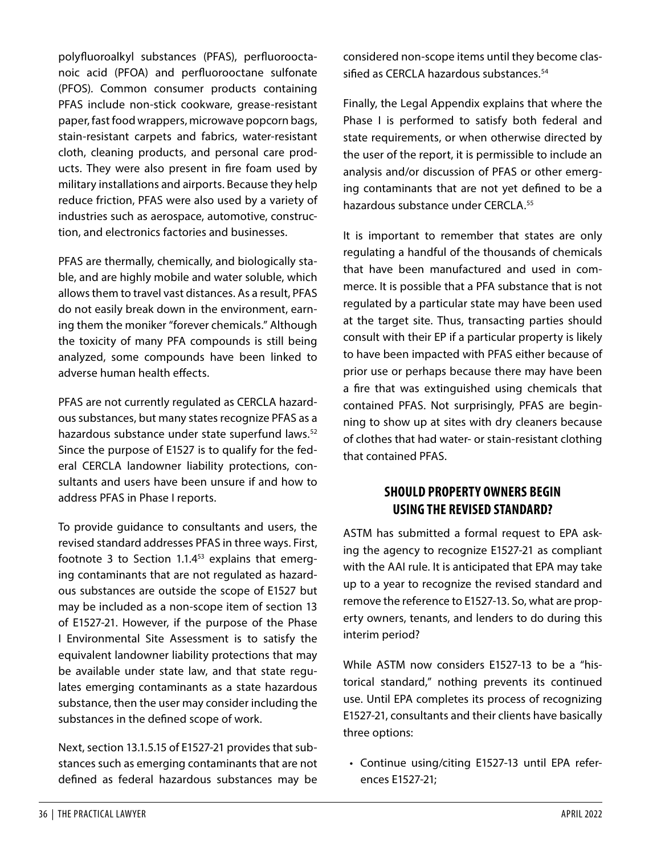polyfluoroalkyl substances (PFAS), perfluorooctanoic acid (PFOA) and perfluorooctane sulfonate (PFOS). Common consumer products containing PFAS include non-stick cookware, grease-resistant paper, fast food wrappers, microwave popcorn bags, stain-resistant carpets and fabrics, water-resistant cloth, cleaning products, and personal care products. They were also present in fire foam used by military installations and airports. Because they help reduce friction, PFAS were also used by a variety of industries such as aerospace, automotive, construction, and electronics factories and businesses.

PFAS are thermally, chemically, and biologically stable, and are highly mobile and water soluble, which allows them to travel vast distances. As a result, PFAS do not easily break down in the environment, earning them the moniker "forever chemicals." Although the toxicity of many PFA compounds is still being analyzed, some compounds have been linked to adverse human health effects.

PFAS are not currently regulated as CERCLA hazardous substances, but many states recognize PFAS as a hazardous substance under state superfund laws.<sup>[52](#page-10-26)</sup> Since the purpose of E1527 is to qualify for the federal CERCLA landowner liability protections, consultants and users have been unsure if and how to address PFAS in Phase I reports.

To provide guidance to consultants and users, the revised standard addresses PFAS in three ways. First, footnote 3 to Section 1.1.4[53](#page-10-27) explains that emerging contaminants that are not regulated as hazardous substances are outside the scope of E1527 but may be included as a non-scope item of section 13 of E1527-21. However, if the purpose of the Phase I Environmental Site Assessment is to satisfy the equivalent landowner liability protections that may be available under state law, and that state regulates emerging contaminants as a state hazardous substance, then the user may consider including the substances in the defined scope of work.

Next, section 13.1.5.15 of E1527-21 provides that substances such as emerging contaminants that are not defined as federal hazardous substances may be

considered non-scope items until they become clas-sified as CERCLA hazardous substances.<sup>[54](#page-10-28)</sup>

Finally, the Legal Appendix explains that where the Phase I is performed to satisfy both federal and state requirements, or when otherwise directed by the user of the report, it is permissible to include an analysis and/or discussion of PFAS or other emerging contaminants that are not yet defined to be a hazardous substance under CERCLA.[55](#page-10-29)

It is important to remember that states are only regulating a handful of the thousands of chemicals that have been manufactured and used in commerce. It is possible that a PFA substance that is not regulated by a particular state may have been used at the target site. Thus, transacting parties should consult with their EP if a particular property is likely to have been impacted with PFAS either because of prior use or perhaps because there may have been a fire that was extinguished using chemicals that contained PFAS. Not surprisingly, PFAS are beginning to show up at sites with dry cleaners because of clothes that had water- or stain-resistant clothing that contained PFAS.

## **SHOULD PROPERTY OWNERS BEGIN USING THE REVISED STANDARD?**

ASTM has submitted a formal request to EPA asking the agency to recognize E1527-21 as compliant with the AAI rule. It is anticipated that EPA may take up to a year to recognize the revised standard and remove the reference to E1527-13. So, what are property owners, tenants, and lenders to do during this interim period?

While ASTM now considers E1527-13 to be a "historical standard," nothing prevents its continued use. Until EPA completes its process of recognizing E1527-21, consultants and their clients have basically three options:

• Continue using/citing E1527-13 until EPA references E1527-21;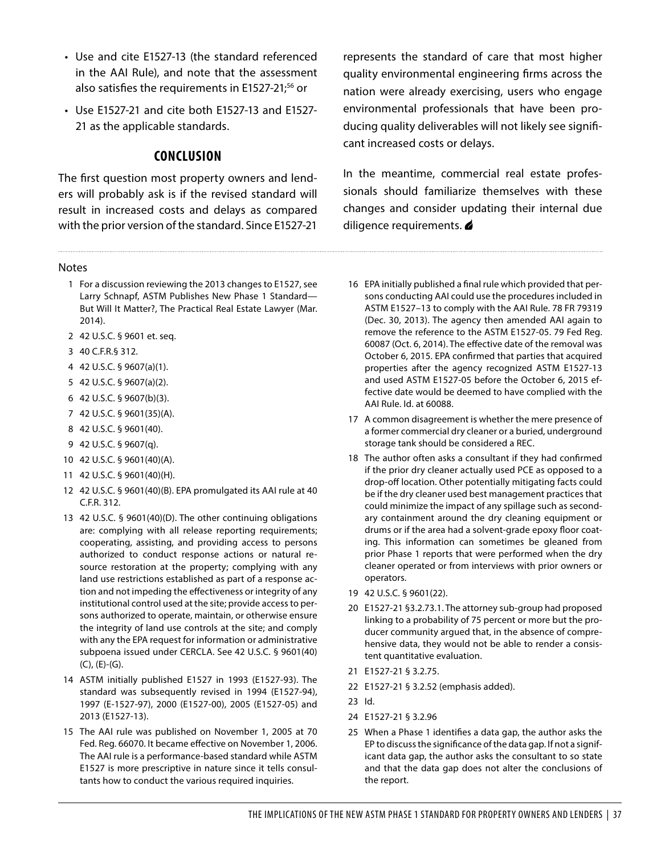- Use and cite E1527-13 (the standard referenced in the AAI Rule), and note that the assessment also satisfies the requirements in E1527-21;<sup>[56](#page-10-30)</sup> or
- Use E1527-21 and cite both E1527-13 and E1527- 21 as the applicable standards.

#### **CONCLUSION**

The first question most property owners and lenders will probably ask is if the revised standard will result in increased costs and delays as compared with the prior version of the standard. Since E1527-21

#### Notes

- <span id="page-9-0"></span>1 For a discussion reviewing the 2013 changes to E1527, see Larry Schnapf, ASTM Publishes New Phase 1 Standard— But Will It Matter?, The Practical Real Estate Lawyer (Mar. 2014).
- <span id="page-9-1"></span>2 42 U.S.C. § 9601 et. seq.
- <span id="page-9-2"></span>3 40 C.F.R.§ 312.
- <span id="page-9-3"></span>4 42 U.S.C. § 9607(a)(1).
- <span id="page-9-4"></span>5 42 U.S.C. § 9607(a)(2).
- <span id="page-9-5"></span>6 42 U.S.C. § 9607(b)(3).
- <span id="page-9-6"></span>7 42 U.S.C. § 9601(35)(A).
- <span id="page-9-7"></span>8 42 U.S.C. § 9601(40).
- <span id="page-9-8"></span>9 42 U.S.C. § 9607(q).
- <span id="page-9-9"></span>10 42 U.S.C. § 9601(40)(A).
- <span id="page-9-10"></span>11 42 U.S.C. § 9601(40)(H).
- <span id="page-9-11"></span>12 42 U.S.C. § 9601(40)(B). EPA promulgated its AAI rule at 40 C.F.R. 312.
- <span id="page-9-12"></span>13 42 U.S.C. § 9601(40)(D). The other continuing obligations are: complying with all release reporting requirements; cooperating, assisting, and providing access to persons authorized to conduct response actions or natural resource restoration at the property; complying with any land use restrictions established as part of a response action and not impeding the effectiveness or integrity of any institutional control used at the site; provide access to persons authorized to operate, maintain, or otherwise ensure the integrity of land use controls at the site; and comply with any the EPA request for information or administrative subpoena issued under CERCLA. See 42 U.S.C. § 9601(40) (C), (E)-(G).
- <span id="page-9-13"></span>14 ASTM initially published E1527 in 1993 (E1527-93). The standard was subsequently revised in 1994 (E1527-94), 1997 (E-1527-97), 2000 (E1527-00), 2005 (E1527-05) and 2013 (E1527-13).
- <span id="page-9-14"></span>15 The AAI rule was published on November 1, 2005 at 70 Fed. Reg. 66070. It became effective on November 1, 2006. The AAI rule is a performance-based standard while ASTM E1527 is more prescriptive in nature since it tells consultants how to conduct the various required inquiries.

represents the standard of care that most higher quality environmental engineering firms across the nation were already exercising, users who engage environmental professionals that have been producing quality deliverables will not likely see significant increased costs or delays.

In the meantime, commercial real estate professionals should familiarize themselves with these changes and consider updating their internal due diligence requirements.

- <span id="page-9-15"></span>16 EPA initially published a final rule which provided that persons conducting AAI could use the procedures included in ASTM E1527–13 to comply with the AAI Rule. 78 FR 79319 (Dec. 30, 2013). The agency then amended AAI again to remove the reference to the ASTM E1527-05. 79 Fed Reg. 60087 (Oct. 6, 2014). The effective date of the removal was October 6, 2015. EPA confirmed that parties that acquired properties after the agency recognized ASTM E1527-13 and used ASTM E1527-05 before the October 6, 2015 effective date would be deemed to have complied with the AAI Rule. Id. at 60088.
- <span id="page-9-16"></span>17 A common disagreement is whether the mere presence of a former commercial dry cleaner or a buried, underground storage tank should be considered a REC.
- <span id="page-9-17"></span>18 The author often asks a consultant if they had confirmed if the prior dry cleaner actually used PCE as opposed to a drop-off location. Other potentially mitigating facts could be if the dry cleaner used best management practices that could minimize the impact of any spillage such as secondary containment around the dry cleaning equipment or drums or if the area had a solvent-grade epoxy floor coating. This information can sometimes be gleaned from prior Phase 1 reports that were performed when the dry cleaner operated or from interviews with prior owners or operators.
- <span id="page-9-18"></span>19 42 U.S.C. § 9601(22).
- <span id="page-9-19"></span>20 E1527-21 §3.2.73.1. The attorney sub-group had proposed linking to a probability of 75 percent or more but the producer community argued that, in the absence of comprehensive data, they would not be able to render a consistent quantitative evaluation.
- <span id="page-9-20"></span>21 E1527-21 § 3.2.75.
- <span id="page-9-21"></span>22 E1527-21 § 3.2.52 (emphasis added).
- <span id="page-9-22"></span>23 Id.
- <span id="page-9-23"></span>24 E1527-21 § 3.2.96
- <span id="page-9-24"></span>25 When a Phase 1 identifies a data gap, the author asks the EP to discuss the significance of the data gap. If not a significant data gap, the author asks the consultant to so state and that the data gap does not alter the conclusions of the report.